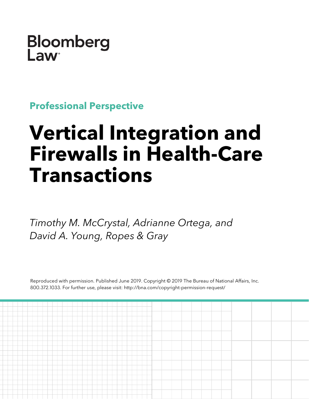

**Professional Perspective**

# **Vertical Integration and Firewalls in Health-Care Transactions**

*Timothy M. McCrystal, Adrianne Ortega, and David A. Young, Ropes & Gray*

Reproduced with permission. Published June 2019. Copyright © 2019 The Bureau of National Affairs, Inc. 800.372.1033. For further use, please visit: http://bna.com/copyright-permission-request/

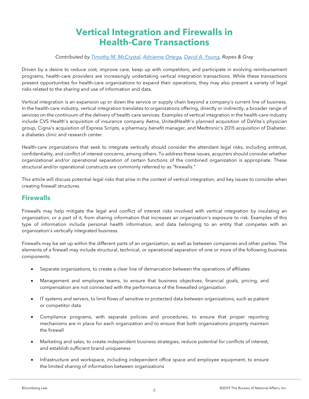## **Vertical Integration and Firewalls in Health-Care Transactions**

#### *Contributed by [Timothy M. McCrystal,](https://www.ropesgray.com/en/biographies/m/timothy-m-mccrystal) [Adrianne Ortega,](https://www.ropesgray.com/en/biographies/o/adrianne-ortega) [David A. Young,](https://www.ropesgray.com/en/biographies/y/david-young?AK=young) Ropes & Gray*

Driven by a desire to reduce cost, improve care, keep up with competitors, and participate in evolving reimbursement programs, health-care providers are increasingly undertaking vertical integration transactions. While these transactions present opportunities for health-care organizations to expand their operations, they may also present a variety of legal risks related to the sharing and use of information and data.

Vertical integration is an expansion up or down the service or supply chain beyond a company's current line of business. In the health-care industry, vertical integration translates to organizations offering, directly or indirectly, a broader range of services on the continuum of the delivery of health-care services. Examples of vertical integration in the health-care industry include CVS Health's acquisition of insurance company Aetna, UnitedHealth's planned acquisition of DaVita's physician group, Cigna's acquisition of Express Scripts, a pharmacy benefit manager, and Medtronic's 2015 acquisition of Diabeter, a diabetes clinic and research center.

Health-care organizations that seek to integrate vertically should consider the attendant legal risks, including antitrust, confidentiality, and conflict of interest concerns, among others. To address these issues, acquirers should consider whether organizational and/or operational separation of certain functions of the combined organization is appropriate. These structural and/or operational constructs are commonly referred to as "firewalls."

This article will discuss potential legal risks that arise in the context of vertical integration, and key issues to consider when creating firewall structures.

#### **Firewalls**

Firewalls may help mitigate the legal and conflict of interest risks involved with vertical integration by insulating an organization, or a part of it, from sharing information that increases an organization's exposure to risk. Examples of this type of information include personal health information, and data belonging to an entity that competes with an organization's vertically integrated business.

Firewalls may be set up within the different parts of an organization, as well as between companies and other parties. The elements of a firewall may include structural, technical, or operational separation of one or more of the following business components:

- Separate organizations, to create a clear line of demarcation between the operations of affiliates
- Management and employee teams, to ensure that business objectives, financial goals, pricing, and compensation are not connected with the performance of the firewalled organization
- IT systems and servers, to limit flows of sensitive or protected data between organizations, such as patient or competitor data
- Compliance programs, with separate policies and procedures, to ensure that proper reporting mechanisms are in place for each organization and to ensure that both organizations property maintain the firewall
- Marketing and sales, to create independent business strategies, reduce potential for conflicts of interest, and establish sufficient brand uniqueness
- Infrastructure and workspace, including independent office space and employee equipment, to ensure the limited sharing of information between organizations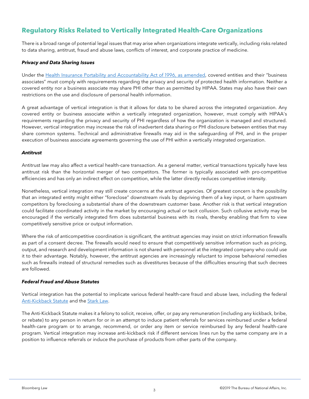### **Regulatory Risks Related to Vertically Integrated Health-Care Organizations**

There is a broad range of potential legal issues that may arise when organizations integrate vertically, including risks related to data sharing, antitrust, fraud and abuse laws, conflicts of interest, and corporate practice of medicine.

#### *Privacy and Data Sharing Issues*

Under the [Health Insurance Portability and Accountability Act of 1996, as amended,](https://www.bloomberglaw.com/document/X10G11OT5790291HGM?bc=W1siRG9jdW1lbnQiLCIvZG9jdW1lbnQvMT9jaXRhdGlvbj0xMTAlMjBzdGF0JTIwMTkzNiZzdW1tYXJ5PXllcyJdXQ--ddb04c12dd565f47f0f33a520c7b64c24b7498e3&jcsearch=110%2520stat%25201936#jcite) covered entities and their "business associates" must comply with requirements regarding the privacy and security of protected health information. Neither a covered entity nor a business associate may share PHI other than as permitted by HIPAA. States may also have their own restrictions on the use and disclosure of personal health information.

A great advantage of vertical integration is that it allows for data to be shared across the integrated organization. Any covered entity or business associate within a vertically integrated organization, however, must comply with HIPAA's requirements regarding the privacy and security of PHI regardless of how the organization is managed and structured. However, vertical integration may increase the risk of inadvertent data sharing or PHI disclosure between entities that may share common systems. Technical and administrative firewalls may aid in the safeguarding of PHI, and in the proper execution of business associate agreements governing the use of PHI within a vertically integrated organization.

#### *Antitrust*

Antitrust law may also affect a vertical health-care transaction. As a general matter, vertical transactions typically have less antitrust risk than the horizontal merger of two competitors. The former is typically associated with pro-competitive efficiencies and has only an indirect effect on competition, while the latter directly reduces competitive intensity.

Nonetheless, vertical integration may still create concerns at the antitrust agencies. Of greatest concern is the possibility that an integrated entity might either "foreclose" downstream rivals by depriving them of a key input, or harm upstream competitors by foreclosing a substantial share of the downstream customer base. Another risk is that vertical integration could facilitate coordinated activity in the market by encouraging actual or tacit collusion. Such collusive activity may be encouraged if the vertically integrated firm does substantial business with its rivals, thereby enabling that firm to view competitively sensitive price or output information.

Where the risk of anticompetitive coordination is significant, the antitrust agencies may insist on strict information firewalls as part of a consent decree. The firewalls would need to ensure that competitively sensitive information such as pricing, output, and research and development information is not shared with personnel at the integrated company who could use it to their advantage. Notably, however, the antitrust agencies are increasingly reluctant to impose behavioral remedies such as firewalls instead of structural remedies such as divestitures because of the difficulties ensuring that such decrees are followed.

#### *Federal Fraud and Abuse Statutes*

Vertical integration has the potential to implicate various federal health-care fraud and abuse laws, including the federal [Anti-Kickback Statute](https://www.bloomberglaw.com/product/blaw/document/XEJABE003?bc=W1siQmxvb21iZXJnIExhdyIsIi9wcm9kdWN0L2JsYXcvc2VhcmNoL2h1Yi9ncm91cC9iOGEzMDFlZGViZTE4MjZiMDVhOTViOGY5OGM0NWI0MC9yZXN1bHRzX3NuaXBwZXQ_aW5kZXg9NiZndWlkPTQ1OTE0Y2NlLWJkYzQtNDhlMi04MDRkLWIyMjVjNjc4OTIyZCJdLFsiU2VhcmNoIFJlc3VsdHMiLCIvcHJvZHVjdC9ibGF3L3NlYXJjaC9yZXN1bHRzL2NjNzhiOGYyZTIyMDk4M2MxYWRkNjRhMmMyNWQ0NmVhIl1d--e261e6972dea515ec7e282cafaf384f0e9beba0f&guid=2951e767-f81c-413b-8213-5a446e3d7ad9&search32=DPX9S9ST786S4I_z6XZYxA%3D%3DpFN_Y6T53cFZS9H3Z1KG1vE8amHgA7oMGi-G_mvrbrAyfC1_gruSm8oVQICXncW2GyhKjB_A7d4ha6uq3pOkSfPEmqQghE8BDqdMbvPkoj4Z_o3TsX5NQf6diHe5gD8npYu6FjOY9M1c9h6rtRpUs3C3ydFr6P7qN1EIqCvrDhXfO_QitTfVfSdiq5ZLmlXdxyzUqglNqwIkhNKZvT7w7z1KF0LC1F2WcVk1AyAgRV8ftoiQ5gniEdQ_IcR-ZwXCOofqjAtgXKBQ-yYIe3lD9IV1g3bfqJ5KVs4uKvlUIfkhiuZzCRi3I0tx1Fn1mB6PAltHhAB2kegxLG4hy4khZJp5GPhZfRs6ZmtkNctHWg6DwcvZ6KFpJx7tG5uXHpBexQvV6rToA4C9Jzn63lKTkpyy-JozembAv-Sc-CEzc2aMWEdFyeXyBl-gKMcPnZmhpkaRCK-AOY7hFZIgNJVkF2DBIPH1628qDZpiJCNlnBXfC0KYGEtYqjqfKA449wPIfEV9F1w3r89vSRxntA5qu0qMzr47dhi_kyfDG_F3mHOzObCTpNF8WXNg07-hKsfu-hda_jzlegpiTe7QjgWqVvtRfVG9yRjvJV-0ISS4IyEAxS2NrWXJAcBW33zCwX-eLkhmgNsXmCA7u7miSC_g5C29oEJxFx6tTz84oOtG-04CVH9_bWSURSvZXSkkJn3QQEJB0nPNClp9G9OwmfomIikfgV8lBgNqiA3hGfGCbbhn5s9ZVkya2uS9wluDRhCD) and the [Stark Law.](https://www.bloomberglaw.com/product/blaw/document/XEJAM8003?bc=W1siQmxvb21iZXJnIExhdyIsIi9wcm9kdWN0L2JsYXcvc2VhcmNoL2h1Yi9ncm91cC8wMzdjNDVmNjM0NGM0NzA4MTUwNDlmMmMwNGQyZGEwYS9yZXN1bHRzX3NuaXBwZXQ_aW5kZXg9NiZndWlkPWZjZDg3ZjdhLWZjN2ItNDEyZC1hN2FiLTg2ZDFiMmE3Y2MwOSJdLFsiU2VhcmNoIFJlc3VsdHMiLCIvcHJvZHVjdC9ibGF3L3NlYXJjaC9yZXN1bHRzLzRhNjUzZmYxNjUwMjU0NjRiMGU4MGE5ZjJjMzk3YWE0Il1d--0025a35f1041d30b4035437251afdfc04045a365&guid=935455aa-2e2a-415e-bdc2-1cbad4ad8e1b&search32=febPNYV3WTqpXcFAp2w2TQ%3D%3D_J5PprKiMDCrYYArPr5QYJUYs93oz-aB7CyZbT9YSk6xmKPVPnzz5Sl3QOcwK9vVsrg08-ALtjeH3fv0yM_gm0kQ31eydoeqAHwLLPkyYn_AjqQZl0J1ktMvzS_mrr27dTD_xMTIR-gXreHULZfKkiu9cz1cci7bHPeB52GCSQ8X84mlyQj4OvZXSfKPUXDfvp-8KEt8aS2zeghgct_eooCq0xhj5TMHN_skutAB7DfaFzwGDEsnsQepBLKzVnZkK4JVVfaJGUsc9FTDloJNR7mRjb3HP2noql4iwBkaB4OqeT1SLimIakkpolHALmJBzFjXmcWfnryF1rbNoewU8MbdFW1hdIFOJkEnG_e2zEi9da21DC3OcFF9l9cP79FEQNg0MjxYTe7sH7cA9CMPKhpjWMiI5fjWoDin7kC-C31o4gPn1v8mX1-w5x7On6YoUCuLyRtHQSFDX_2dd0WDD9enjltPKsPgbE580LcHc5QsmE1AzgAH4-EuRYGxdkxD4XTP5XbQv9XskoL2q5j1tossZWQ8lD128TIhd5i--kJNSP0eyHJuo9KvuzeDbEeEHCuXiT2mn3QvPAfcRhhsi07rnIHWeZEEG03LmD8gQMCZrtKHNn1aquV3e8VtX3qOBJRB1FTm7ieVyNfEK5gLHQAJEKMPvM-QdJKUT6et1Gm_3Rr77o6MQFbLhYlwlruL)

The Anti-Kickback Statute makes it a felony to solicit, receive, offer, or pay any remuneration (including any kickback, bribe, or rebate) to any person in return for or in an attempt to induce patient referrals for services reimbursed under a federal health-care program or to arrange, recommend, or order any item or service reimbursed by any federal health-care program. Vertical integration may increase anti-kickback risk if different services lines run by the same company are in a position to influence referrals or induce the purchase of products from other parts of the company.